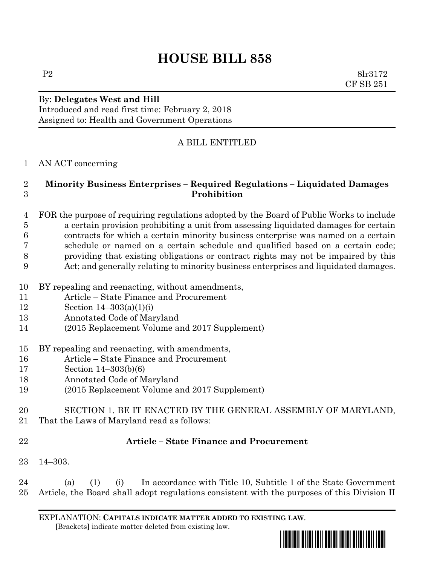# **HOUSE BILL 858**

By: **Delegates West and Hill**

Introduced and read first time: February 2, 2018 Assigned to: Health and Government Operations

## A BILL ENTITLED

#### AN ACT concerning

### **Minority Business Enterprises – Required Regulations – Liquidated Damages Prohibition**

- FOR the purpose of requiring regulations adopted by the Board of Public Works to include a certain provision prohibiting a unit from assessing liquidated damages for certain contracts for which a certain minority business enterprise was named on a certain schedule or named on a certain schedule and qualified based on a certain code; providing that existing obligations or contract rights may not be impaired by this Act; and generally relating to minority business enterprises and liquidated damages.
- BY repealing and reenacting, without amendments,
- Article State Finance and Procurement
- Section 14–303(a)(1)(i)
- Annotated Code of Maryland
- (2015 Replacement Volume and 2017 Supplement)
- BY repealing and reenacting, with amendments,
- Article State Finance and Procurement
- Section 14–303(b)(6)
- Annotated Code of Maryland
- (2015 Replacement Volume and 2017 Supplement)
- SECTION 1. BE IT ENACTED BY THE GENERAL ASSEMBLY OF MARYLAND,
- That the Laws of Maryland read as follows:
- 

## **Article – State Finance and Procurement**

14–303.

 (a) (1) (i) In accordance with Title 10, Subtitle 1 of the State Government Article, the Board shall adopt regulations consistent with the purposes of this Division II

EXPLANATION: **CAPITALS INDICATE MATTER ADDED TO EXISTING LAW**.  **[**Brackets**]** indicate matter deleted from existing law.



P2 8lr3172 CF SB 251